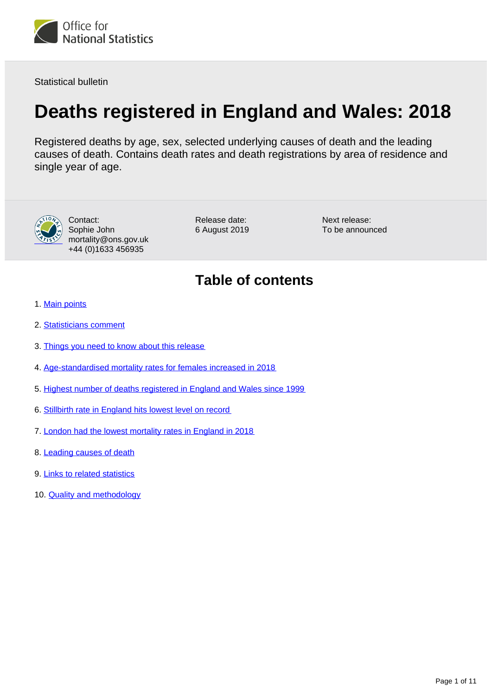<span id="page-0-0"></span>

Statistical bulletin

# **Deaths registered in England and Wales: 2018**

Registered deaths by age, sex, selected underlying causes of death and the leading causes of death. Contains death rates and death registrations by area of residence and single year of age.



Contact: Sophie John mortality@ons.gov.uk +44 (0)1633 456935

Release date: 6 August 2019 Next release: To be announced

## **Table of contents**

- 1. [Main points](#page-1-0)
- 2. [Statisticians comment](#page-1-1)
- 3. [Things you need to know about this release](#page-1-2)
- 4. [Age-standardised mortality rates for females increased in 2018](#page-2-0)
- 5. [Highest number of deaths registered in England and Wales since 1999](#page-3-0)
- 6. [Stillbirth rate in England hits lowest level on record](#page-5-0)
- 7. [London had the lowest mortality rates in England in 2018](#page-6-0)
- 8. [Leading causes of death](#page-7-0)
- 9. [Links to related statistics](#page-9-0)
- 10. **[Quality and methodology](#page-9-1)**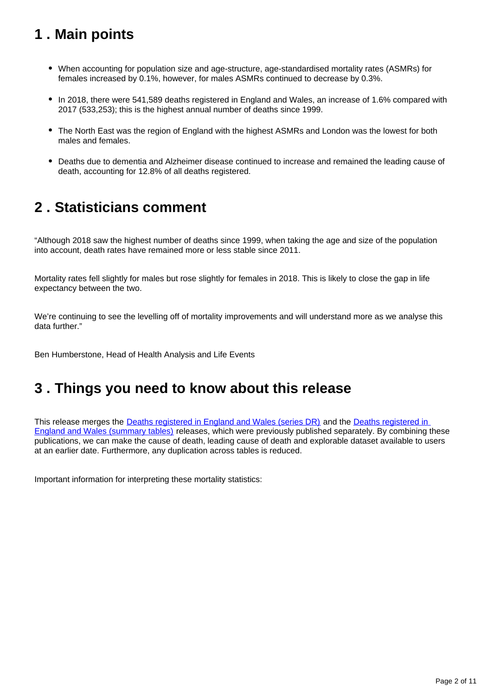## <span id="page-1-0"></span>**1 . Main points**

- When accounting for population size and age-structure, age-standardised mortality rates (ASMRs) for females increased by 0.1%, however, for males ASMRs continued to decrease by 0.3%.
- In 2018, there were 541,589 deaths registered in England and Wales, an increase of 1.6% compared with 2017 (533,253); this is the highest annual number of deaths since 1999.
- The North East was the region of England with the highest ASMRs and London was the lowest for both males and females.
- Deaths due to dementia and Alzheimer disease continued to increase and remained the leading cause of death, accounting for 12.8% of all deaths registered.

### <span id="page-1-1"></span>**2 . Statisticians comment**

"Although 2018 saw the highest number of deaths since 1999, when taking the age and size of the population into account, death rates have remained more or less stable since 2011.

Mortality rates fell slightly for males but rose slightly for females in 2018. This is likely to close the gap in life expectancy between the two.

We're continuing to see the levelling off of mortality improvements and will understand more as we analyse this data further."

Ben Humberstone, Head of Health Analysis and Life Events

### <span id="page-1-2"></span>**3 . Things you need to know about this release**

This release merges the [Deaths registered in England and Wales \(series DR\)](https://www.ons.gov.uk/peoplepopulationandcommunity/birthsdeathsandmarriages/deaths/bulletins/deathsregisteredinenglandandwalesseriesdr/2017) and the [Deaths registered in](https://www.ons.gov.uk/peoplepopulationandcommunity/birthsdeathsandmarriages/deaths/bulletins/deathsregistrationsummarytables/previousReleases)  [England and Wales \(summary tables\)](https://www.ons.gov.uk/peoplepopulationandcommunity/birthsdeathsandmarriages/deaths/bulletins/deathsregistrationsummarytables/previousReleases) releases, which were previously published separately. By combining these publications, we can make the cause of death, leading cause of death and explorable dataset available to users at an earlier date. Furthermore, any duplication across tables is reduced.

Important information for interpreting these mortality statistics: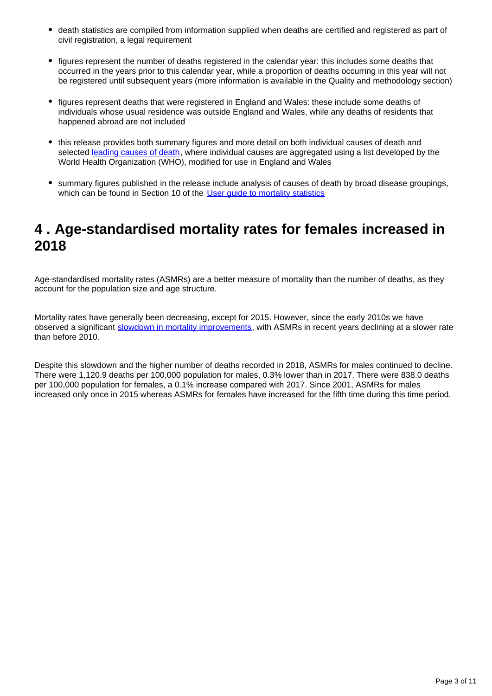- death statistics are compiled from information supplied when deaths are certified and registered as part of civil registration, a legal requirement
- figures represent the number of deaths registered in the calendar year: this includes some deaths that occurred in the years prior to this calendar year, while a proportion of deaths occurring in this year will not be registered until subsequent years (more information is available in the Quality and methodology section)
- figures represent deaths that were registered in England and Wales: these include some deaths of individuals whose usual residence was outside England and Wales, while any deaths of residents that happened abroad are not included
- this release provides both summary figures and more detail on both individual causes of death and selected [leading causes of death](https://www.ons.gov.uk/peoplepopulationandcommunity/birthsdeathsandmarriages/deaths/methodologies/userguidetomortalitystatistics/leadingcausesofdeathinenglandandwalesrevised2016), where individual causes are aggregated using a list developed by the World Health Organization (WHO), modified for use in England and Wales
- summary figures published in the release include analysis of causes of death by broad disease groupings, which can be found in Section 10 of the User quide to mortality statistics

### <span id="page-2-0"></span>**4 . Age-standardised mortality rates for females increased in 2018**

Age-standardised mortality rates (ASMRs) are a better measure of mortality than the number of deaths, as they account for the population size and age structure.

Mortality rates have generally been decreasing, except for 2015. However, since the early 2010s we have observed a significant [slowdown in mortality improvements](https://www.ons.gov.uk/peoplepopulationandcommunity/birthsdeathsandmarriages/deaths/articles/changingtrendsinmortalityinenglandandwales1990to2017/experimentalstatistics), with ASMRs in recent years declining at a slower rate than before 2010.

Despite this slowdown and the higher number of deaths recorded in 2018, ASMRs for males continued to decline. There were 1,120.9 deaths per 100,000 population for males, 0.3% lower than in 2017. There were 838.0 deaths per 100,000 population for females, a 0.1% increase compared with 2017. Since 2001, ASMRs for males increased only once in 2015 whereas ASMRs for females have increased for the fifth time during this time period.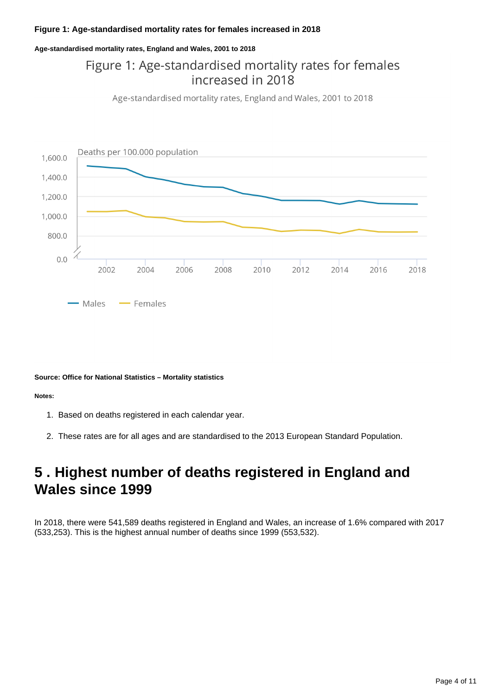#### **Figure 1: Age-standardised mortality rates for females increased in 2018**

#### **Age-standardised mortality rates, England and Wales, 2001 to 2018**

### Figure 1: Age-standardised mortality rates for females increased in 2018

Age-standardised mortality rates, England and Wales, 2001 to 2018



#### **Source: Office for National Statistics – Mortality statistics**

#### **Notes:**

- 1. Based on deaths registered in each calendar year.
- 2. These rates are for all ages and are standardised to the 2013 European Standard Population.

### <span id="page-3-0"></span>**5 . Highest number of deaths registered in England and Wales since 1999**

In 2018, there were 541,589 deaths registered in England and Wales, an increase of 1.6% compared with 2017 (533,253). This is the highest annual number of deaths since 1999 (553,532).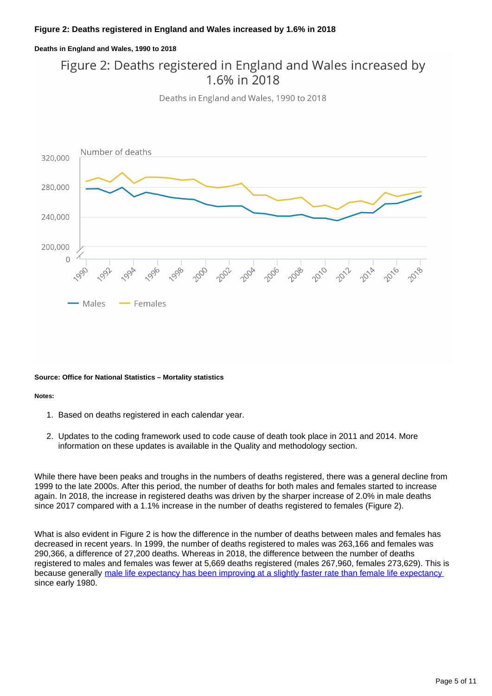#### **Deaths in England and Wales, 1990 to 2018**

### Figure 2: Deaths registered in England and Wales increased by 1.6% in 2018

Deaths in England and Wales, 1990 to 2018



#### **Source: Office for National Statistics – Mortality statistics**

#### **Notes:**

- 1. Based on deaths registered in each calendar year.
- 2. Updates to the coding framework used to code cause of death took place in 2011 and 2014. More information on these updates is available in the Quality and methodology section.

While there have been peaks and troughs in the numbers of deaths registered, there was a general decline from 1999 to the late 2000s. After this period, the number of deaths for both males and females started to increase again. In 2018, the increase in registered deaths was driven by the sharper increase of 2.0% in male deaths since 2017 compared with a 1.1% increase in the number of deaths registered to females (Figure 2).

What is also evident in Figure 2 is how the difference in the number of deaths between males and females has decreased in recent years. In 1999, the number of deaths registered to males was 263,166 and females was 290,366, a difference of 27,200 deaths. Whereas in 2018, the difference between the number of deaths registered to males and females was fewer at 5,669 deaths registered (males 267,960, females 273,629). This is because generally [male life expectancy has been improving at a slightly faster rate than female life expectancy](https://www.ons.gov.uk/peoplepopulationandcommunity/birthsdeathsandmarriages/lifeexpectancies/bulletins/nationallifetablesunitedkingdom/2014to2016) since early 1980.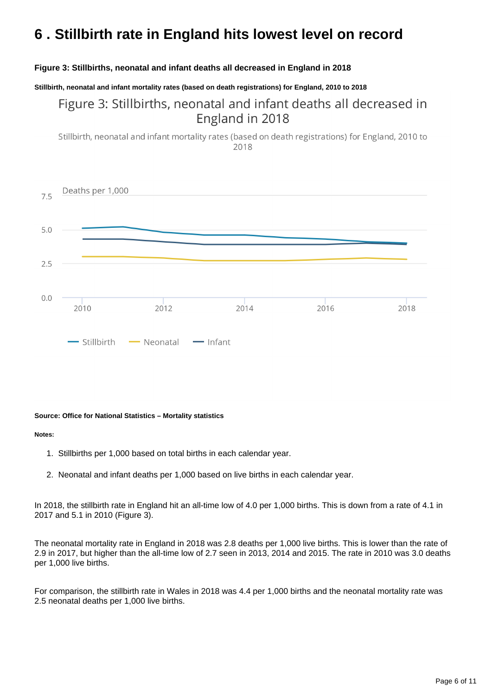## <span id="page-5-0"></span>**6 . Stillbirth rate in England hits lowest level on record**

#### **Figure 3: Stillbirths, neonatal and infant deaths all decreased in England in 2018**

**Stillbirth, neonatal and infant mortality rates (based on death registrations) for England, 2010 to 2018**

### Figure 3: Stillbirths, neonatal and infant deaths all decreased in England in 2018

Stillbirth, neonatal and infant mortality rates (based on death registrations) for England, 2010 to 2018



#### **Source: Office for National Statistics – Mortality statistics**

#### **Notes:**

- 1. Stillbirths per 1,000 based on total births in each calendar year.
- 2. Neonatal and infant deaths per 1,000 based on live births in each calendar year.

In 2018, the stillbirth rate in England hit an all-time low of 4.0 per 1,000 births. This is down from a rate of 4.1 in 2017 and 5.1 in 2010 (Figure 3).

The neonatal mortality rate in England in 2018 was 2.8 deaths per 1,000 live births. This is lower than the rate of 2.9 in 2017, but higher than the all-time low of 2.7 seen in 2013, 2014 and 2015. The rate in 2010 was 3.0 deaths per 1,000 live births.

For comparison, the stillbirth rate in Wales in 2018 was 4.4 per 1,000 births and the neonatal mortality rate was 2.5 neonatal deaths per 1,000 live births.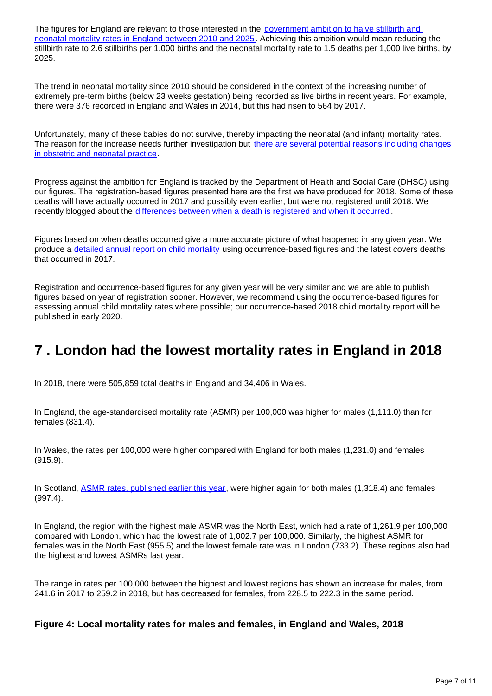The figures for England are relevant to those interested in the government ambition to halve stillbirth and [neonatal mortality rates in England between 2010 and 2025](https://www.gov.uk/government/publications/safer-maternity-care-progress-and-next-steps). Achieving this ambition would mean reducing the stillbirth rate to 2.6 stillbirths per 1,000 births and the neonatal mortality rate to 1.5 deaths per 1,000 live births, by 2025.

The trend in neonatal mortality since 2010 should be considered in the context of the increasing number of extremely pre-term births (below 23 weeks gestation) being recorded as live births in recent years. For example, there were 376 recorded in England and Wales in 2014, but this had risen to 564 by 2017.

Unfortunately, many of these babies do not survive, thereby impacting the neonatal (and infant) mortality rates. The reason for the increase needs further investigation but [there are several potential reasons including changes](https://www.bmj.com/content/360/bmj.k1270/rr)  [in obstetric and neonatal practice](https://www.bmj.com/content/360/bmj.k1270/rr).

Progress against the ambition for England is tracked by the Department of Health and Social Care (DHSC) using our figures. The registration-based figures presented here are the first we have produced for 2018. Some of these deaths will have actually occurred in 2017 and possibly even earlier, but were not registered until 2018. We recently blogged about the [differences between when a death is registered and when it occurred](https://blog.ons.gov.uk/2019/03/07/beware-the-ides-of-march-ons-data-reveals-which-month-we-are-really-most-likely-to-die-in/) .

Figures based on when deaths occurred give a more accurate picture of what happened in any given year. We produce a [detailed annual report on child mortality](https://www.ons.gov.uk/peoplepopulationandcommunity/birthsdeathsandmarriages/deaths/bulletins/childhoodinfantandperinatalmortalityinenglandandwales/2017) using occurrence-based figures and the latest covers deaths that occurred in 2017.

Registration and occurrence-based figures for any given year will be very similar and we are able to publish figures based on year of registration sooner. However, we recommend using the occurrence-based figures for assessing annual child mortality rates where possible; our occurrence-based 2018 child mortality report will be published in early 2020.

### <span id="page-6-0"></span>**7 . London had the lowest mortality rates in England in 2018**

In 2018, there were 505,859 total deaths in England and 34,406 in Wales.

In England, the age-standardised mortality rate (ASMR) per 100,000 was higher for males (1,111.0) than for females (831.4).

In Wales, the rates per 100,000 were higher compared with England for both males (1,231.0) and females (915.9).

In Scotland, [ASMR rates, published earlier this year,](https://www.nrscotland.gov.uk/statistics-and-data/statistics/statistics-by-theme/vital-events/deaths/age-standardised-death-rates-calculated-using-the-esp) were higher again for both males (1,318.4) and females (997.4).

In England, the region with the highest male ASMR was the North East, which had a rate of 1,261.9 per 100,000 compared with London, which had the lowest rate of 1,002.7 per 100,000. Similarly, the highest ASMR for females was in the North East (955.5) and the lowest female rate was in London (733.2). These regions also had the highest and lowest ASMRs last year.

The range in rates per 100,000 between the highest and lowest regions has shown an increase for males, from 241.6 in 2017 to 259.2 in 2018, but has decreased for females, from 228.5 to 222.3 in the same period.

#### **Figure 4: Local mortality rates for males and females, in England and Wales, 2018**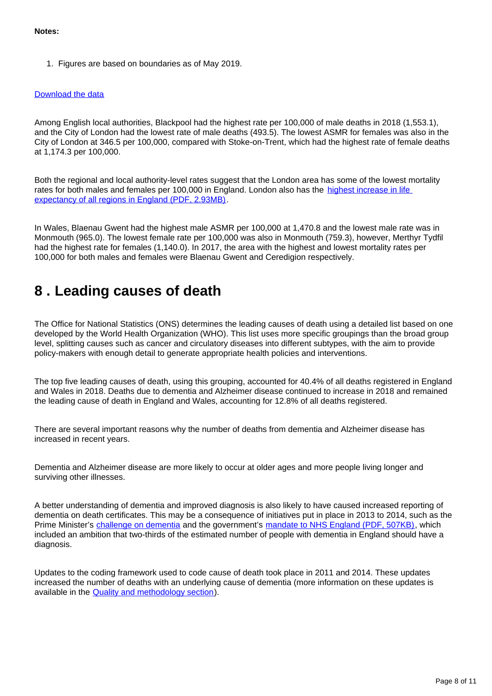1. Figures are based on boundaries as of May 2019.

#### [Download the data](https://www.ons.gov.uk/visualisations/dvc668/mortality.csv)

Among English local authorities, Blackpool had the highest rate per 100,000 of male deaths in 2018 (1,553.1), and the City of London had the lowest rate of male deaths (493.5). The lowest ASMR for females was also in the City of London at 346.5 per 100,000, compared with Stoke-on-Trent, which had the highest rate of female deaths at 1,174.3 per 100,000.

Both the regional and local authority-level rates suggest that the London area has some of the lowest mortality rates for both males and females per 100,000 in England. London also has the highest increase in life [expectancy of all regions in England \(PDF, 2.93MB\)](https://assets.publishing.service.gov.uk/government/uploads/system/uploads/attachment_data/file/786515/Recent_trends_in_mortality_in_England.pdf).

In Wales, Blaenau Gwent had the highest male ASMR per 100,000 at 1,470.8 and the lowest male rate was in Monmouth (965.0). The lowest female rate per 100,000 was also in Monmouth (759.3), however, Merthyr Tydfil had the highest rate for females (1,140.0). In 2017, the area with the highest and lowest mortality rates per 100,000 for both males and females were Blaenau Gwent and Ceredigion respectively.

### <span id="page-7-0"></span>**8 . Leading causes of death**

The Office for National Statistics (ONS) determines the leading causes of death using a detailed list based on one developed by the World Health Organization (WHO). This list uses more specific groupings than the broad group level, splitting causes such as cancer and circulatory diseases into different subtypes, with the aim to provide policy-makers with enough detail to generate appropriate health policies and interventions.

The top five leading causes of death, using this grouping, accounted for 40.4% of all deaths registered in England and Wales in 2018. Deaths due to dementia and Alzheimer disease continued to increase in 2018 and remained the leading cause of death in England and Wales, accounting for 12.8% of all deaths registered.

There are several important reasons why the number of deaths from dementia and Alzheimer disease has increased in recent years.

Dementia and Alzheimer disease are more likely to occur at older ages and more people living longer and surviving other illnesses.

A better understanding of dementia and improved diagnosis is also likely to have caused increased reporting of dementia on death certificates. This may be a consequence of initiatives put in place in 2013 to 2014, such as the Prime Minister's [challenge on dementia](https://www.gov.uk/government/publications/prime-ministers-challenge-on-dementia-2020) and the government's [mandate to NHS England \(PDF, 507KB\)](https://assets.publishing.service.gov.uk/government/uploads/system/uploads/attachment_data/file/601188/NHS_Mandate_2017-18_A.pdf), which included an ambition that two-thirds of the estimated number of people with dementia in England should have a diagnosis.

Updates to the coding framework used to code cause of death took place in 2011 and 2014. These updates increased the number of deaths with an underlying cause of dementia (more information on these updates is available in the [Quality and methodology section](https://www.ons.gov.uk/peoplepopulationandcommunity/birthsdeathsandmarriages/deaths/bulletins/deathsregistrationsummarytables/2018#quality-and-methodology)).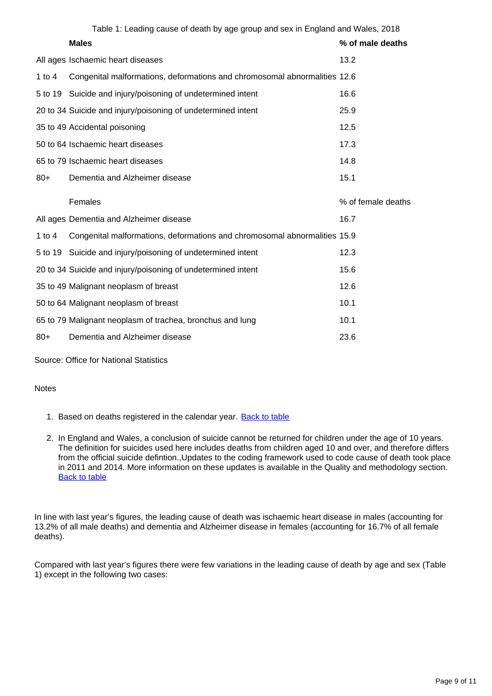|          | Table 1: Leading cause of death by age group and sex in England and Wales, 2018 |                    |
|----------|---------------------------------------------------------------------------------|--------------------|
|          | <b>Males</b>                                                                    | % of male deaths   |
|          | All ages Ischaemic heart diseases                                               | 13.2               |
| 1 to $4$ | Congenital malformations, deformations and chromosomal abnormalities 12.6       |                    |
|          | 5 to 19 Suicide and injury/poisoning of undetermined intent                     | 16.6               |
|          | 20 to 34 Suicide and injury/poisoning of undetermined intent                    | 25.9               |
|          | 35 to 49 Accidental poisoning                                                   | 12.5               |
|          | 50 to 64 Ischaemic heart diseases                                               | 17.3               |
|          | 65 to 79 Ischaemic heart diseases                                               | 14.8               |
| $80+$    | Dementia and Alzheimer disease                                                  | 15.1               |
|          |                                                                                 |                    |
|          | Females                                                                         | % of female deaths |
|          | All ages Dementia and Alzheimer disease                                         | 16.7               |
| 1 to $4$ | Congenital malformations, deformations and chromosomal abnormalities 15.9       |                    |
|          | 5 to 19 Suicide and injury/poisoning of undetermined intent                     | 12.3               |
|          | 20 to 34 Suicide and injury/poisoning of undetermined intent                    | 15.6               |
|          | 35 to 49 Malignant neoplasm of breast                                           | 12.6               |
|          | 50 to 64 Malignant neoplasm of breast                                           | 10.1               |
|          | 65 to 79 Malignant neoplasm of trachea, bronchus and lung                       | 10.1               |
| $80+$    | Dementia and Alzheimer disease                                                  | 23.6               |

Source: Office for National Statistics

**Notes** 

- 1. Based on deaths registered in the calendar year. **[Back to table](#page-0-0)**
- 2. In England and Wales, a conclusion of suicide cannot be returned for children under the age of 10 years. The definition for suicides used here includes deaths from children aged 10 and over, and therefore differs from the official suicide defintion.,Updates to the coding framework used to code cause of death took place in 2011 and 2014. More information on these updates is available in the Quality and methodology section. **[Back to table](#page-0-0)**

In line with last year's figures, the leading cause of death was ischaemic heart disease in males (accounting for 13.2% of all male deaths) and dementia and Alzheimer disease in females (accounting for 16.7% of all female deaths).

Compared with last year's figures there were few variations in the leading cause of death by age and sex (Table 1) except in the following two cases: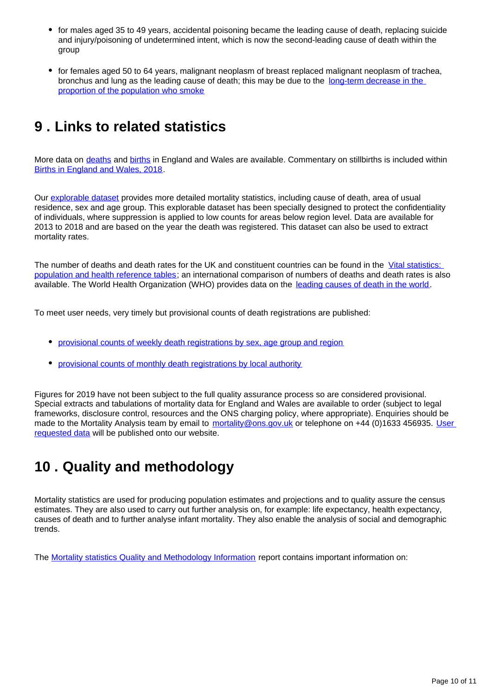- for males aged 35 to 49 years, accidental poisoning became the leading cause of death, replacing suicide and injury/poisoning of undetermined intent, which is now the second-leading cause of death within the group
- for females aged 50 to 64 years, malignant neoplasm of breast replaced malignant neoplasm of trachea, bronchus and lung as the leading cause of death; this may be due to the [long-term decrease in the](https://www.ons.gov.uk/peoplepopulationandcommunity/healthandsocialcare/healthandlifeexpectancies/bulletins/adultsmokinghabitsingreatbritain/2017#data-on-smokers-who-have-quit-and-smokers-who-intend-to-quit-great-britain-1974-to-2017)  [proportion of the population who smoke](https://www.ons.gov.uk/peoplepopulationandcommunity/healthandsocialcare/healthandlifeexpectancies/bulletins/adultsmokinghabitsingreatbritain/2017#data-on-smokers-who-have-quit-and-smokers-who-intend-to-quit-great-britain-1974-to-2017)

### <span id="page-9-0"></span>**9 . Links to related statistics**

More data on [deaths](https://www.ons.gov.uk/peoplepopulationandcommunity/birthsdeathsandmarriages/deaths) and [births](https://www.ons.gov.uk/peoplepopulationandcommunity/birthsdeathsandmarriages/livebirths) in England and Wales are available. Commentary on stillbirths is included within [Births in England and Wales, 2018](https://www.ons.gov.uk/peoplepopulationandcommunity/birthsdeathsandmarriages/livebirths/bulletins/birthsummarytablesenglandandwales/2018).

Our [explorable dataset](https://www.nomisweb.co.uk/query/select/getdatasetbytheme.asp?theme=73) provides more detailed mortality statistics, including cause of death, area of usual residence, sex and age group. This explorable dataset has been specially designed to protect the confidentiality of individuals, where suppression is applied to low counts for areas below region level. Data are available for 2013 to 2018 and are based on the year the death was registered. This dataset can also be used to extract mortality rates.

The number of deaths and death rates for the UK and constituent countries can be found in the Vital statistics: [population and health reference tables](http://www.ons.gov.uk/peoplepopulationandcommunity/populationandmigration/populationestimates/datasets/vitalstatisticspopulationandhealthreferencetables); an international comparison of numbers of deaths and death rates is also available. The World Health Organization (WHO) provides data on the [leading causes of death in the world](https://www.who.int/en/news-room/fact-sheets/detail/the-top-10-causes-of-death).

To meet user needs, very timely but provisional counts of death registrations are published:

- [provisional counts of weekly death registrations by sex, age group and region](http://www.ons.gov.uk/peoplepopulationandcommunity/birthsdeathsandmarriages/deaths/datasets/weeklyprovisionalfiguresondeathsregisteredinenglandandwales)
- [provisional counts of monthly death registrations by local authority](http://www.ons.gov.uk/peoplepopulationandcommunity/birthsdeathsandmarriages/deaths/datasets/monthlyfiguresondeathsregisteredbyareaofusualresidence)

Figures for 2019 have not been subject to the full quality assurance process so are considered provisional. Special extracts and tabulations of mortality data for England and Wales are available to order (subject to legal frameworks, disclosure control, resources and the ONS charging policy, where appropriate). Enquiries should be made to the Mortality Analysis team by email to mortality@ons.gov.uk or telephone on +44 (0)1633 456935. User [requested data](https://www.ons.gov.uk/peoplepopulationandcommunity/birthsdeathsandmarriages/deaths/datalist) will be published onto our website.

### <span id="page-9-1"></span>**10 . Quality and methodology**

Mortality statistics are used for producing population estimates and projections and to quality assure the census estimates. They are also used to carry out further analysis on, for example: life expectancy, health expectancy, causes of death and to further analyse infant mortality. They also enable the analysis of social and demographic trends.

The [Mortality statistics Quality and Methodology Information](https://www.ons.gov.uk/peoplepopulationandcommunity/birthsdeathsandmarriages/deaths/methodologies/mortalitystatisticsinenglandandwalesqmi) report contains important information on: